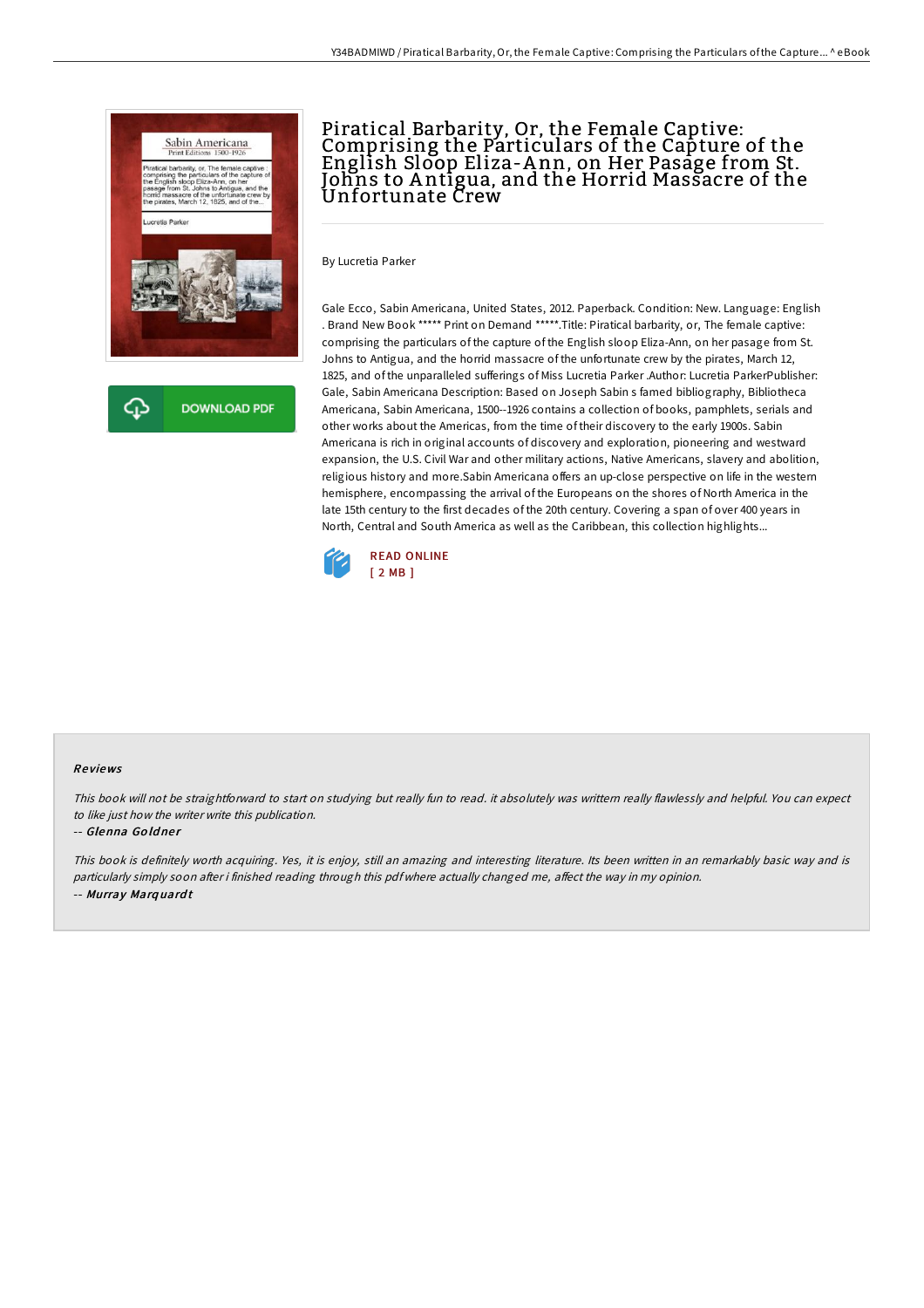

### Piratical Barbarity, Or, the Female Captive: Comprising the Particulars of the Capture of the English Sloop Eliza-A nn, on Her Pasage from St. Johns to Antigua, and the Horrid Massacre of the Unfortunate Crew

By Lucretia Parker

Gale Ecco, Sabin Americana, United States, 2012. Paperback. Condition: New. Language: English . Brand New Book \*\*\*\*\* Print on Demand \*\*\*\*\*.Title: Piratical barbarity, or, The female captive: comprising the particulars of the capture of the English sloop Eliza-Ann, on her pasage from St. Johns to Antigua, and the horrid massacre of the unfortunate crew by the pirates, March 12, 1825, and of the unparalleled sufferings of Miss Lucretia Parker .Author: Lucretia ParkerPublisher: Gale, Sabin Americana Description: Based on Joseph Sabin s famed bibliography, Bibliotheca Americana, Sabin Americana, 1500--1926 contains a collection of books, pamphlets, serials and other works about the Americas, from the time of their discovery to the early 1900s. Sabin Americana is rich in original accounts of discovery and exploration, pioneering and westward expansion, the U.S. Civil War and other military actions, Native Americans, slavery and abolition, religious history and more.Sabin Americana offers an up-close perspective on life in the western hemisphere, encompassing the arrival of the Europeans on the shores of North America in the late 15th century to the first decades of the 20th century. Covering a span of over 400 years in North, Central and South America as well as the Caribbean, this collection highlights...



#### Re views

This book will not be straightforward to start on studying but really fun to read. it absolutely was writtern really flawlessly and helpful. You can expect to like just how the writer write this publication.

#### -- Glenna Goldner

This book is definitely worth acquiring. Yes, it is enjoy, still an amazing and interesting literature. Its been written in an remarkably basic way and is particularly simply soon after i finished reading through this pdf where actually changed me, affect the way in my opinion. -- Murray Marq uard <sup>t</sup>